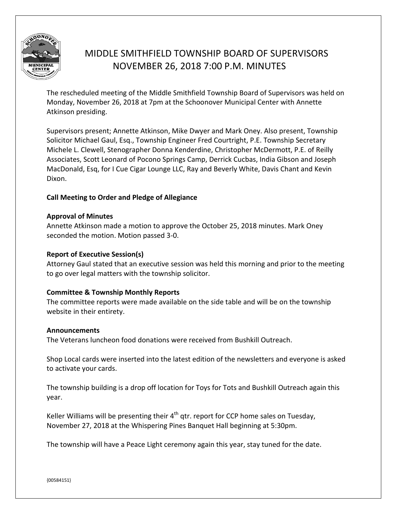

# MIDDLE SMITHFIELD TOWNSHIP BOARD OF SUPERVISORS NOVEMBER 26, 2018 7:00 P.M. MINUTES

The rescheduled meeting of the Middle Smithfield Township Board of Supervisors was held on Monday, November 26, 2018 at 7pm at the Schoonover Municipal Center with Annette Atkinson presiding.

Supervisors present; Annette Atkinson, Mike Dwyer and Mark Oney. Also present, Township Solicitor Michael Gaul, Esq., Township Engineer Fred Courtright, P.E. Township Secretary Michele L. Clewell, Stenographer Donna Kenderdine, Christopher McDermott, P.E. of Reilly Associates, Scott Leonard of Pocono Springs Camp, Derrick Cucbas, India Gibson and Joseph MacDonald, Esq, for I Cue Cigar Lounge LLC, Ray and Beverly White, Davis Chant and Kevin Dixon.

# **Call Meeting to Order and Pledge of Allegiance**

# **Approval of Minutes**

Annette Atkinson made a motion to approve the October 25, 2018 minutes. Mark Oney seconded the motion. Motion passed 3-0.

# **Report of Executive Session(s)**

Attorney Gaul stated that an executive session was held this morning and prior to the meeting to go over legal matters with the township solicitor.

# **Committee & Township Monthly Reports**

The committee reports were made available on the side table and will be on the township website in their entirety.

# **Announcements**

The Veterans luncheon food donations were received from Bushkill Outreach.

Shop Local cards were inserted into the latest edition of the newsletters and everyone is asked to activate your cards.

The township building is a drop off location for Toys for Tots and Bushkill Outreach again this year.

Keller Williams will be presenting their  $4<sup>th</sup>$  gtr. report for CCP home sales on Tuesday, November 27, 2018 at the Whispering Pines Banquet Hall beginning at 5:30pm.

The township will have a Peace Light ceremony again this year, stay tuned for the date.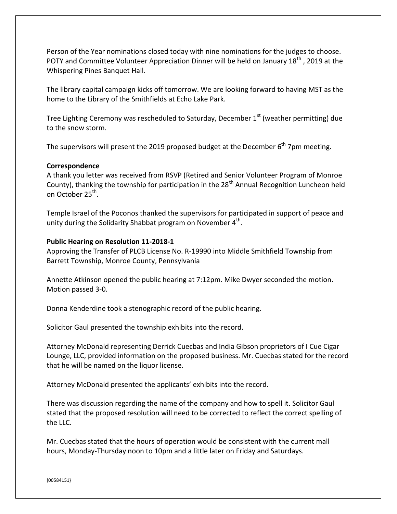Person of the Year nominations closed today with nine nominations for the judges to choose. POTY and Committee Volunteer Appreciation Dinner will be held on January 18<sup>th</sup>, 2019 at the Whispering Pines Banquet Hall.

The library capital campaign kicks off tomorrow. We are looking forward to having MST as the home to the Library of the Smithfields at Echo Lake Park.

Tree Lighting Ceremony was rescheduled to Saturday, December  $1<sup>st</sup>$  (weather permitting) due to the snow storm.

The supervisors will present the 2019 proposed budget at the December  $6<sup>th</sup>$  7pm meeting.

### **Correspondence**

A thank you letter was received from RSVP (Retired and Senior Volunteer Program of Monroe County), thanking the township for participation in the 28<sup>th</sup> Annual Recognition Luncheon held on October 25<sup>th</sup>.

Temple Israel of the Poconos thanked the supervisors for participated in support of peace and unity during the Solidarity Shabbat program on November  $4^{\text{th}}$ .

#### **Public Hearing on Resolution 11-2018-1**

Approving the Transfer of PLCB License No. R-19990 into Middle Smithfield Township from Barrett Township, Monroe County, Pennsylvania

Annette Atkinson opened the public hearing at 7:12pm. Mike Dwyer seconded the motion. Motion passed 3-0.

Donna Kenderdine took a stenographic record of the public hearing.

Solicitor Gaul presented the township exhibits into the record.

Attorney McDonald representing Derrick Cuecbas and India Gibson proprietors of I Cue Cigar Lounge, LLC, provided information on the proposed business. Mr. Cuecbas stated for the record that he will be named on the liquor license.

Attorney McDonald presented the applicants' exhibits into the record.

There was discussion regarding the name of the company and how to spell it. Solicitor Gaul stated that the proposed resolution will need to be corrected to reflect the correct spelling of the LLC.

Mr. Cuecbas stated that the hours of operation would be consistent with the current mall hours, Monday-Thursday noon to 10pm and a little later on Friday and Saturdays.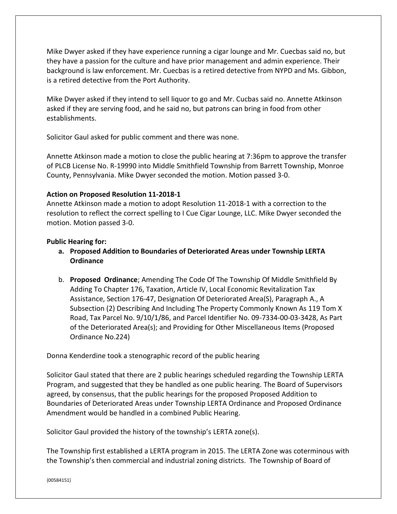Mike Dwyer asked if they have experience running a cigar lounge and Mr. Cuecbas said no, but they have a passion for the culture and have prior management and admin experience. Their background is law enforcement. Mr. Cuecbas is a retired detective from NYPD and Ms. Gibbon, is a retired detective from the Port Authority.

Mike Dwyer asked if they intend to sell liquor to go and Mr. Cucbas said no. Annette Atkinson asked if they are serving food, and he said no, but patrons can bring in food from other establishments.

Solicitor Gaul asked for public comment and there was none.

Annette Atkinson made a motion to close the public hearing at 7:36pm to approve the transfer of PLCB License No. R-19990 into Middle Smithfield Township from Barrett Township, Monroe County, Pennsylvania. Mike Dwyer seconded the motion. Motion passed 3-0.

# **Action on Proposed Resolution 11-2018-1**

Annette Atkinson made a motion to adopt Resolution 11-2018-1 with a correction to the resolution to reflect the correct spelling to I Cue Cigar Lounge, LLC. Mike Dwyer seconded the motion. Motion passed 3-0.

# **Public Hearing for:**

- **a. Proposed Addition to Boundaries of Deteriorated Areas under Township LERTA Ordinance**
- b. **Proposed Ordinance**; Amending The Code Of The Township Of Middle Smithfield By Adding To Chapter 176, Taxation, Article IV, Local Economic Revitalization Tax Assistance, Section 176-47, Designation Of Deteriorated Area(S), Paragraph A., A Subsection (2) Describing And Including The Property Commonly Known As 119 Tom X Road, Tax Parcel No. 9/10/1/86, and Parcel Identifier No. 09-7334-00-03-3428, As Part of the Deteriorated Area(s); and Providing for Other Miscellaneous Items (Proposed Ordinance No.224)

Donna Kenderdine took a stenographic record of the public hearing

Solicitor Gaul stated that there are 2 public hearings scheduled regarding the Township LERTA Program, and suggested that they be handled as one public hearing. The Board of Supervisors agreed, by consensus, that the public hearings for the proposed Proposed Addition to Boundaries of Deteriorated Areas under Township LERTA Ordinance and Proposed Ordinance Amendment would be handled in a combined Public Hearing.

Solicitor Gaul provided the history of the township's LERTA zone(s).

The Township first established a LERTA program in 2015. The LERTA Zone was coterminous with the Township's then commercial and industrial zoning districts. The Township of Board of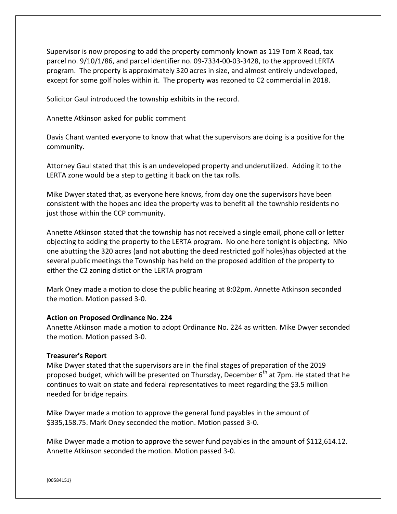Supervisor is now proposing to add the property commonly known as 119 Tom X Road, tax parcel no. 9/10/1/86, and parcel identifier no. 09-7334-00-03-3428, to the approved LERTA program. The property is approximately 320 acres in size, and almost entirely undeveloped, except for some golf holes within it. The property was rezoned to C2 commercial in 2018.

Solicitor Gaul introduced the township exhibits in the record.

Annette Atkinson asked for public comment

Davis Chant wanted everyone to know that what the supervisors are doing is a positive for the community.

Attorney Gaul stated that this is an undeveloped property and underutilized. Adding it to the LERTA zone would be a step to getting it back on the tax rolls.

Mike Dwyer stated that, as everyone here knows, from day one the supervisors have been consistent with the hopes and idea the property was to benefit all the township residents no just those within the CCP community.

Annette Atkinson stated that the township has not received a single email, phone call or letter objecting to adding the property to the LERTA program. No one here tonight is objecting. NNo one abutting the 320 acres (and not abutting the deed restricted golf holes)has objected at the several public meetings the Township has held on the proposed addition of the property to either the C2 zoning distict or the LERTA program

Mark Oney made a motion to close the public hearing at 8:02pm. Annette Atkinson seconded the motion. Motion passed 3-0.

### **Action on Proposed Ordinance No. 224**

Annette Atkinson made a motion to adopt Ordinance No. 224 as written. Mike Dwyer seconded the motion. Motion passed 3-0.

#### **Treasurer's Report**

Mike Dwyer stated that the supervisors are in the final stages of preparation of the 2019 proposed budget, which will be presented on Thursday, December 6<sup>th</sup> at 7pm. He stated that he continues to wait on state and federal representatives to meet regarding the \$3.5 million needed for bridge repairs.

Mike Dwyer made a motion to approve the general fund payables in the amount of \$335,158.75. Mark Oney seconded the motion. Motion passed 3-0.

Mike Dwyer made a motion to approve the sewer fund payables in the amount of \$112,614.12. Annette Atkinson seconded the motion. Motion passed 3-0.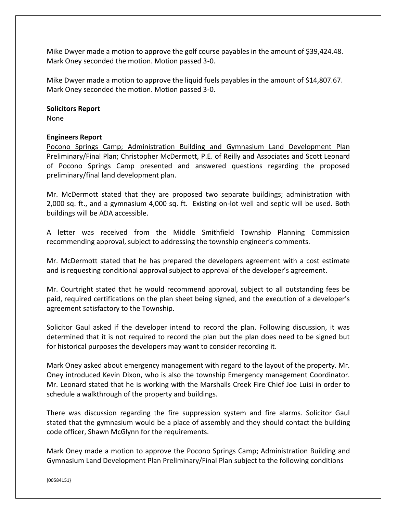Mike Dwyer made a motion to approve the golf course payables in the amount of \$39,424.48. Mark Oney seconded the motion. Motion passed 3-0.

Mike Dwyer made a motion to approve the liquid fuels payables in the amount of \$14,807.67. Mark Oney seconded the motion. Motion passed 3-0.

#### **Solicitors Report**

None

### **Engineers Report**

Pocono Springs Camp; Administration Building and Gymnasium Land Development Plan Preliminary/Final Plan; Christopher McDermott, P.E. of Reilly and Associates and Scott Leonard of Pocono Springs Camp presented and answered questions regarding the proposed preliminary/final land development plan.

Mr. McDermott stated that they are proposed two separate buildings; administration with 2,000 sq. ft., and a gymnasium 4,000 sq. ft. Existing on-lot well and septic will be used. Both buildings will be ADA accessible.

A letter was received from the Middle Smithfield Township Planning Commission recommending approval, subject to addressing the township engineer's comments.

Mr. McDermott stated that he has prepared the developers agreement with a cost estimate and is requesting conditional approval subject to approval of the developer's agreement.

Mr. Courtright stated that he would recommend approval, subject to all outstanding fees be paid, required certifications on the plan sheet being signed, and the execution of a developer's agreement satisfactory to the Township.

Solicitor Gaul asked if the developer intend to record the plan. Following discussion, it was determined that it is not required to record the plan but the plan does need to be signed but for historical purposes the developers may want to consider recording it.

Mark Oney asked about emergency management with regard to the layout of the property. Mr. Oney introduced Kevin Dixon, who is also the township Emergency management Coordinator. Mr. Leonard stated that he is working with the Marshalls Creek Fire Chief Joe Luisi in order to schedule a walkthrough of the property and buildings.

There was discussion regarding the fire suppression system and fire alarms. Solicitor Gaul stated that the gymnasium would be a place of assembly and they should contact the building code officer, Shawn McGlynn for the requirements.

Mark Oney made a motion to approve the Pocono Springs Camp; Administration Building and Gymnasium Land Development Plan Preliminary/Final Plan subject to the following conditions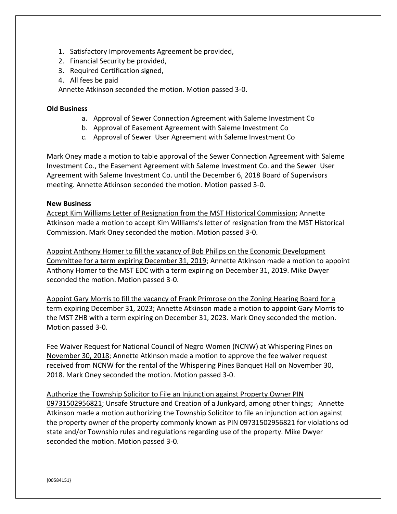- 1. Satisfactory Improvements Agreement be provided,
- 2. Financial Security be provided,
- 3. Required Certification signed,
- 4. All fees be paid

Annette Atkinson seconded the motion. Motion passed 3-0.

# **Old Business**

- a. Approval of Sewer Connection Agreement with Saleme Investment Co
- b. Approval of Easement Agreement with Saleme Investment Co
- c. Approval of Sewer User Agreement with Saleme Investment Co

Mark Oney made a motion to table approval of the Sewer Connection Agreement with Saleme Investment Co., the Easement Agreement with Saleme Investment Co. and the Sewer User Agreement with Saleme Investment Co. until the December 6, 2018 Board of Supervisors meeting. Annette Atkinson seconded the motion. Motion passed 3-0.

# **New Business**

Accept Kim Williams Letter of Resignation from the MST Historical Commission; Annette Atkinson made a motion to accept Kim Williams's letter of resignation from the MST Historical Commission. Mark Oney seconded the motion. Motion passed 3-0.

Appoint Anthony Homer to fill the vacancy of Bob Philips on the Economic Development Committee for a term expiring December 31, 2019; Annette Atkinson made a motion to appoint Anthony Homer to the MST EDC with a term expiring on December 31, 2019. Mike Dwyer seconded the motion. Motion passed 3-0.

Appoint Gary Morris to fill the vacancy of Frank Primrose on the Zoning Hearing Board for a term expiring December 31, 2023; Annette Atkinson made a motion to appoint Gary Morris to the MST ZHB with a term expiring on December 31, 2023. Mark Oney seconded the motion. Motion passed 3-0.

Fee Waiver Request for National Council of Negro Women (NCNW) at Whispering Pines on November 30, 2018; Annette Atkinson made a motion to approve the fee waiver request received from NCNW for the rental of the Whispering Pines Banquet Hall on November 30, 2018. Mark Oney seconded the motion. Motion passed 3-0.

Authorize the Township Solicitor to File an Injunction against Property Owner PIN 09731502956821; Unsafe Structure and Creation of a Junkyard, among other things; Annette Atkinson made a motion authorizing the Township Solicitor to file an injunction action against the property owner of the property commonly known as PIN 09731502956821 for violations od state and/or Township rules and regulations regarding use of the property. Mike Dwyer seconded the motion. Motion passed 3-0.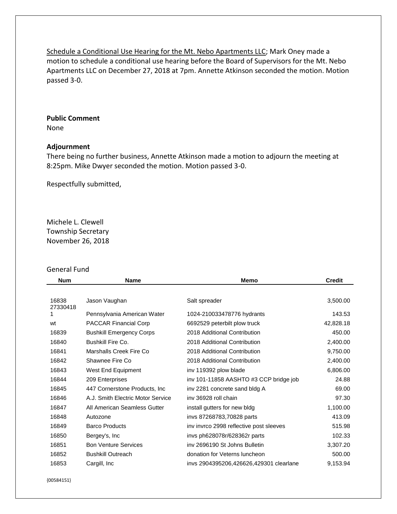Schedule a Conditional Use Hearing for the Mt. Nebo Apartments LLC; Mark Oney made a motion to schedule a conditional use hearing before the Board of Supervisors for the Mt. Nebo Apartments LLC on December 27, 2018 at 7pm. Annette Atkinson seconded the motion. Motion passed 3-0.

# **Public Comment**

None

# **Adjournment**

There being no further business, Annette Atkinson made a motion to adjourn the meeting at 8:25pm. Mike Dwyer seconded the motion. Motion passed 3-0.

Respectfully submitted,

Michele L. Clewell Township Secretary November 26, 2018

### General Fund

| <b>Num</b>        | <b>Name</b>                       | Memo                                    | <b>Credit</b> |
|-------------------|-----------------------------------|-----------------------------------------|---------------|
|                   |                                   |                                         |               |
| 16838<br>27330418 | Jason Vaughan                     | Salt spreader                           | 3,500.00      |
| 1.                | Pennsylvania American Water       | 1024-210033478776 hydrants              | 143.53        |
| wt                | PACCAR Financial Corp             | 6692529 peterbilt plow truck            | 42,828.18     |
| 16839             | <b>Bushkill Emergency Corps</b>   | 2018 Additional Contribution            | 450.00        |
| 16840             | Bushkill Fire Co.                 | 2018 Additional Contribution            | 2,400.00      |
| 16841             | Marshalls Creek Fire Co           | 2018 Additional Contribution            | 9,750.00      |
| 16842             | Shawnee Fire Co                   | 2018 Additional Contribution            | 2,400.00      |
| 16843             | West End Equipment                | inv 119392 plow blade                   | 6,806.00      |
| 16844             | 209 Enterprises                   | inv 101-11858 AASHTO #3 CCP bridge job  | 24.88         |
| 16845             | 447 Cornerstone Products, Inc     | inv 2281 concrete sand bldg A           | 69.00         |
| 16846             | A.J. Smith Electric Motor Service | iny 36928 roll chain                    | 97.30         |
| 16847             | All American Seamless Gutter      | install gutters for new bldg            | 1,100.00      |
| 16848             | Autozone                          | invs 87268783,70828 parts               | 413.09        |
| 16849             | <b>Barco Products</b>             | inv invrco 2998 reflective post sleeves | 515.98        |
| 16850             | Bergey's, Inc                     | invs ph628078r/628362r parts            | 102.33        |
| 16851             | <b>Bon Venture Services</b>       | iny 2696190 St Johns Bulletin           | 3,307.20      |
| 16852             | <b>Bushkill Outreach</b>          | donation for Veterns luncheon           | 500.00        |
| 16853             | Cargill, Inc                      | invs 2904395206,426626,429301 clearlane | 9,153.94      |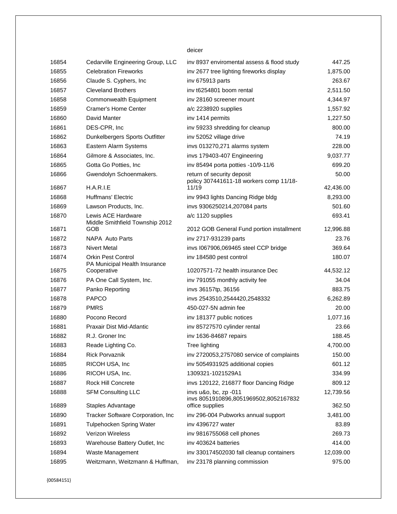#### deicer

| 16854 | Cedarville Engineering Group, LLC                          | inv 8937 enviromental assess & flood study                            | 447.25    |
|-------|------------------------------------------------------------|-----------------------------------------------------------------------|-----------|
| 16855 | <b>Celebration Fireworks</b>                               | inv 2677 tree lighting fireworks display                              | 1,875.00  |
| 16856 | Claude S. Cyphers, Inc                                     | inv 675913 parts                                                      | 263.67    |
| 16857 | <b>Cleveland Brothers</b>                                  | inv t6254801 boom rental                                              | 2,511.50  |
| 16858 | Commonwealth Equipment                                     | inv 28160 screener mount                                              | 4,344.97  |
| 16859 | Cramer's Home Center                                       | a/c 2238920 supplies                                                  | 1,557.92  |
| 16860 | David Manter                                               | inv 1414 permits                                                      | 1,227.50  |
| 16861 | DES-CPR, Inc                                               | inv 59233 shredding for cleanup                                       | 800.00    |
| 16862 | Dunkelbergers Sports Outfitter                             | inv 52052 village drive                                               | 74.19     |
| 16863 | Eastern Alarm Systems                                      | invs 013270,271 alarms system                                         | 228.00    |
| 16864 | Gilmore & Associates, Inc.                                 | invs 179403-407 Engineering                                           | 9,037.77  |
| 16865 | Gotta Go Potties, Inc.                                     | inv 85494 porta potties -10/9-11/6                                    | 699.20    |
| 16866 | Gwendolyn Schoenmakers.                                    | return of security deposit<br>policy 307441611-18 workers comp 11/18- | 50.00     |
| 16867 | H.A.R.I.E                                                  | 11/19                                                                 | 42,436.00 |
| 16868 | Huffmans' Electric                                         | inv 9943 lights Dancing Ridge bldg                                    | 8,293.00  |
| 16869 | Lawson Products, Inc.                                      | invs 9306250214,207084 parts                                          | 501.60    |
| 16870 | Lewis ACE Hardware<br>Middle Smithfield Township 2012      | a/c 1120 supplies                                                     | 693.41    |
| 16871 | GOB                                                        | 2012 GOB General Fund portion installment                             | 12,996.88 |
| 16872 | NAPA Auto Parts                                            | inv 2717-931239 parts                                                 | 23.76     |
| 16873 | <b>Nivert Metal</b>                                        | invs I067906,069465 steel CCP bridge                                  | 369.64    |
| 16874 | <b>Orkin Pest Control</b><br>PA Municipal Health Insurance | inv 184580 pest control                                               | 180.07    |
| 16875 | Cooperative                                                | 10207571-72 health insurance Dec                                      | 44,532.12 |
| 16876 | PA One Call System, Inc.                                   | inv 791055 monthly activity fee                                       | 34.04     |
| 16877 | Panko Reporting                                            | invs 36157tp, 36156                                                   | 883.75    |
| 16878 | <b>PAPCO</b>                                               | invs 2543510,2544420,2548332                                          | 6,262.89  |
| 16879 | <b>PMRS</b>                                                | 450-027-5N admin fee                                                  | 20.00     |
| 16880 | Pocono Record                                              | inv 181377 public notices                                             | 1,077.16  |
| 16881 | Praxair Dist Mid-Atlantic                                  | inv 85727570 cylinder rental                                          | 23.66     |
| 16882 | R.J. Groner Inc.                                           | inv 1636-84687 repairs                                                | 188.45    |
| 16883 | Reade Lighting Co.                                         | Tree lighting                                                         | 4,700.00  |
| 16884 | Rick Porvaznik                                             | inv 2720053,2757080 service of complaints                             | 150.00    |
| 16885 | RICOH USA, Inc                                             | inv 5054931925 additional copies                                      | 601.12    |
| 16886 | RICOH USA, Inc.                                            | 1309321-1021529A1                                                     | 334.99    |
| 16887 | Rock Hill Concrete                                         | invs 120122, 216877 floor Dancing Ridge                               | 809.12    |
| 16888 | <b>SFM Consulting LLC</b>                                  | invs u&o, bc, zp -011<br>invs 8051910896,8051969502,8052167832        | 12,739.56 |
| 16889 | Staples Advantage                                          | office supplies                                                       | 362.50    |
| 16890 | Tracker Software Corporation, Inc                          | inv 296-004 Pubworks annual support                                   | 3,481.00  |
| 16891 | <b>Tulpehocken Spring Water</b>                            | inv 4396727 water                                                     | 83.89     |
| 16892 | <b>Verizon Wireless</b>                                    | inv 9816755068 cell phones                                            | 269.73    |
| 16893 | Warehouse Battery Outlet, Inc                              | inv 403624 batteries                                                  | 414.00    |
| 16894 | Waste Management                                           | inv 330174502030 fall cleanup containers                              | 12,039.00 |
| 16895 | Weitzmann, Weitzmann & Huffman,                            | inv 23178 planning commission                                         | 975.00    |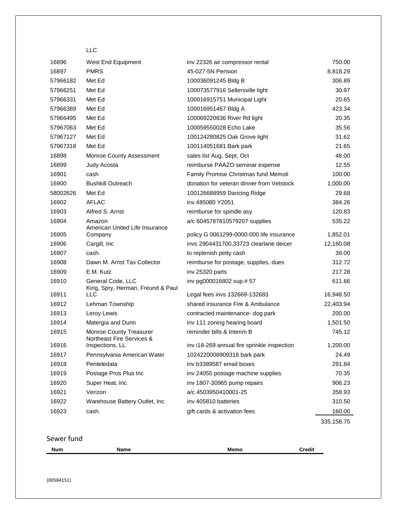# LLC

| 16896    | West End Equipment                                     | inv 22326 air compressor rental             | 750.00      |
|----------|--------------------------------------------------------|---------------------------------------------|-------------|
| 16897    | <b>PMRS</b>                                            | 45-027-5N Pension                           | 8,818.29    |
| 57966182 | Met Ed                                                 | 100036091245 Bldg B                         | 306.89      |
| 57966251 | Met Ed                                                 | 100073577916 Sellersville light             | 30.97       |
| 57966331 | Met Ed                                                 | 100016915751 Municipal Light                | 20.65       |
| 57966389 | Met Ed                                                 | 100016951467 Bldg A                         | 423.34      |
| 57966495 | Met Ed                                                 | 100069220836 River Rd light                 | 20.35       |
| 57967063 | Met Ed                                                 | 100059550028 Echo Lake                      | 35.56       |
| 57967127 | Met Ed                                                 | 100124280825 Oak Grove light                | 31.62       |
| 57967318 | Met Ed                                                 | 100114051681 Bark park                      | 21.65       |
| 16898    | <b>Monroe County Assessment</b>                        | sales list Aug, Sept, Oct                   | 48.00       |
| 16899    | Judy Acosta                                            | reimburse PAAZO seminar expense             | 12.55       |
| 16901    | cash                                                   | Family Promise Christmas fund Memoli        | 100.00      |
| 16900    | <b>Bushkill Outreach</b>                               | donation for veteran dinner from Vetstock   | 1,000.00    |
| 58002626 | Met Ed                                                 | 100126688959 Dancing Ridge                  | 29.68       |
| 16902    | <b>AFLAC</b>                                           | inv 485080 Y2051                            | 384.26      |
| 16903    | Alfred S. Arnst                                        | reimburse for spindle asy                   | 120.83      |
| 16904    | Amazon<br>American United Life Insurance               | a/c 6045787810579207 supplies               | 535.22      |
| 16905    | Company                                                | policy G 0061299-0000-000 life insurance    | 1,852.01    |
| 16906    | Cargill, Inc                                           | invs 2904431700,33723 clearlane deicer      | 12,160.08   |
| 16907    | cash.                                                  | to replenish petty cash                     | 39.00       |
| 16908    | Dawn M. Arnst Tax Collector                            | reimburse for postage, supplies, dues       | 312.72      |
| 16909    | E.M. Kutz                                              | inv 25320 parts                             | 217.28      |
| 16910    | General Code, LLC<br>King, Spry, Herman, Freund & Paul | inv pg000016802 sup.# 57                    | 611.66      |
| 16911    | <b>LLC</b>                                             | Legal fees invs 132669-132683               | 16,948.50   |
| 16912    | Lehman Township                                        | shared insurance Fire & Ambulance           | 22,403.94   |
| 16913    | Leroy Lewis                                            | contracted maintenance- dog park            | 200.00      |
| 16914    | Matergia and Dunn                                      | inv 111 zoning hearing board                | 1,501.50    |
| 16915    | Monroe County Treasurer<br>Northeast Fire Services &   | reminder bills & Interim B                  | 745.12      |
| 16916    | Inspections, LL                                        | inv i18-269 annual fire sprinkle inspection | 1,200.00    |
| 16917    | Pennsylvania American Water                            | 1024220008909318 bark park                  | 24.49       |
| 16918    | Penteledata                                            | inv b3389587 email boxes                    | 291.84      |
| 16919    | Postage Pros Plus Inc                                  | inv 24055 postage machine supplies          | 70.35       |
| 16920    | Super Heat, Inc                                        | inv 1807-30965 pump repairs                 | 906.23      |
| 16921    | Verizon                                                | a/c 4503950410001-25                        | 358.93      |
| 16922    | Warehouse Battery Outlet, Inc                          | inv 405810 batteries                        | 310.50      |
| 16923    | cash.                                                  | gift cards & activation fees                | 160.00      |
|          |                                                        |                                             | 335, 158.75 |

Sewer fund

| <b>Num</b> | Name | Memo | `redi। |
|------------|------|------|--------|
|            |      |      |        |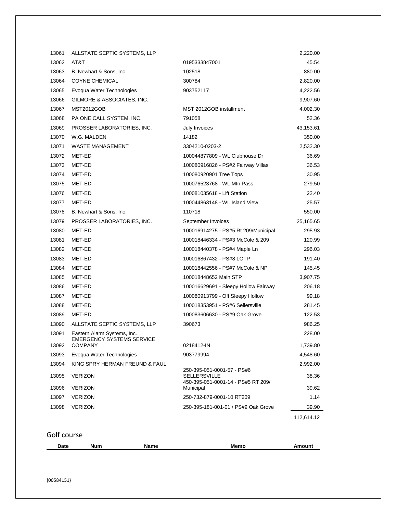| 13061 | ALLSTATE SEPTIC SYSTEMS, LLP                |                                                                                         | 2,220.00   |
|-------|---------------------------------------------|-----------------------------------------------------------------------------------------|------------|
| 13062 | AT&T                                        | 0195333847001                                                                           | 45.54      |
| 13063 | B. Newhart & Sons, Inc.                     | 102518                                                                                  | 880.00     |
| 13064 | <b>COYNE CHEMICAL</b>                       | 300784                                                                                  | 2,820.00   |
| 13065 | Evoqua Water Technologies                   | 903752117                                                                               | 4,222.56   |
| 13066 | GILMORE & ASSOCIATES, INC.                  |                                                                                         | 9,907.60   |
| 13067 | <b>MST2012GOB</b>                           | MST 2012GOB installment                                                                 | 4,002.30   |
| 13068 | PA ONE CALL SYSTEM, INC.                    | 791058                                                                                  | 52.36      |
| 13069 | PROSSER LABORATORIES, INC.                  | July Invoices                                                                           | 43,153.61  |
| 13070 | W.G. MALDEN                                 | 14182                                                                                   | 350.00     |
| 13071 | <b>WASTE MANAGEMENT</b>                     | 3304210-0203-2                                                                          | 2,532.30   |
| 13072 | MET-ED                                      | 100044877809 - WL Clubhouse Dr                                                          | 36.69      |
| 13073 | MET-ED                                      | 100080916826 - PS#2 Fairway Villas                                                      | 36.53      |
| 13074 | MET-ED                                      | 100080920901 Tree Tops                                                                  | 30.95      |
| 13075 | MET-ED                                      | 100076523768 - WL Mtn Pass                                                              | 279.50     |
| 13076 | MET-ED                                      | 100081035618 - Lift Station                                                             | 22.40      |
| 13077 | MET-ED                                      | 100044863148 - WL Island View                                                           | 25.57      |
| 13078 | B. Newhart & Sons, Inc.                     | 110718                                                                                  | 550.00     |
| 13079 | PROSSER LABORATORIES, INC.                  | September Invoices                                                                      | 25,165.65  |
| 13080 | MET-ED                                      | 100016914275 - PS#5 Rt 209/Municipal                                                    | 295.93     |
| 13081 | MET-ED                                      | 100018446334 - PS#3 McCole & 209                                                        | 120.99     |
| 13082 | MET-ED                                      | 100018440378 - PS#4 Maple Ln                                                            | 296.03     |
| 13083 | MET-ED                                      | 100016867432 - PS#8 LOTP                                                                | 191.40     |
| 13084 | MET-ED                                      | 100018442556 - PS#7 McCole & NP                                                         | 145.45     |
| 13085 | MET-ED                                      | 100018448652 Main STP                                                                   | 3,907.75   |
| 13086 | MET-ED                                      | 100016629691 - Sleepy Hollow Fairway                                                    | 206.18     |
| 13087 | MET-ED                                      | 100080913799 - Off Sleepy Hollow                                                        | 99.18      |
| 13088 | MET-ED                                      | 100018353951 - PS#6 Sellersville                                                        | 281.45     |
| 13089 | MET-ED                                      | 100083606630 - PS#9 Oak Grove                                                           | 122.53     |
| 13090 | ALLSTATE SEPTIC SYSTEMS, LLP                | 390673                                                                                  | 986.25     |
| 13091 | Eastern Alarm Systems, Inc.                 |                                                                                         | 228.00     |
| 13092 | EMERGENCY SYSTEMS SERVICE<br><b>COMPANY</b> | 0218412-IN                                                                              | 1,739.80   |
| 13093 | Evoqua Water Technologies                   | 903779994                                                                               | 4,548.60   |
| 13094 | KING SPRY HERMAN FREUND & FAUL              |                                                                                         | 2,992.00   |
| 13095 | <b>VERIZON</b>                              | 250-395-051-0001-57 - PS#6<br><b>SELLERSVILLE</b><br>450-395-051-0001-14 - PS#5 RT 209/ | 38.36      |
| 13096 | <b>VERIZON</b>                              | Municipal                                                                               | 39.62      |
| 13097 | <b>VERIZON</b>                              | 250-732-879-0001-10 RT209                                                               | 1.14       |
| 13098 | <b>VERIZON</b>                              | 250-395-181-001-01 / PS#9 Oak Grove                                                     | 39.90      |
|       |                                             |                                                                                         | 112,614.12 |
|       |                                             |                                                                                         |            |

Golf course

| Date | Num | Name | Memc | ™oun. |
|------|-----|------|------|-------|
|      |     |      |      |       |